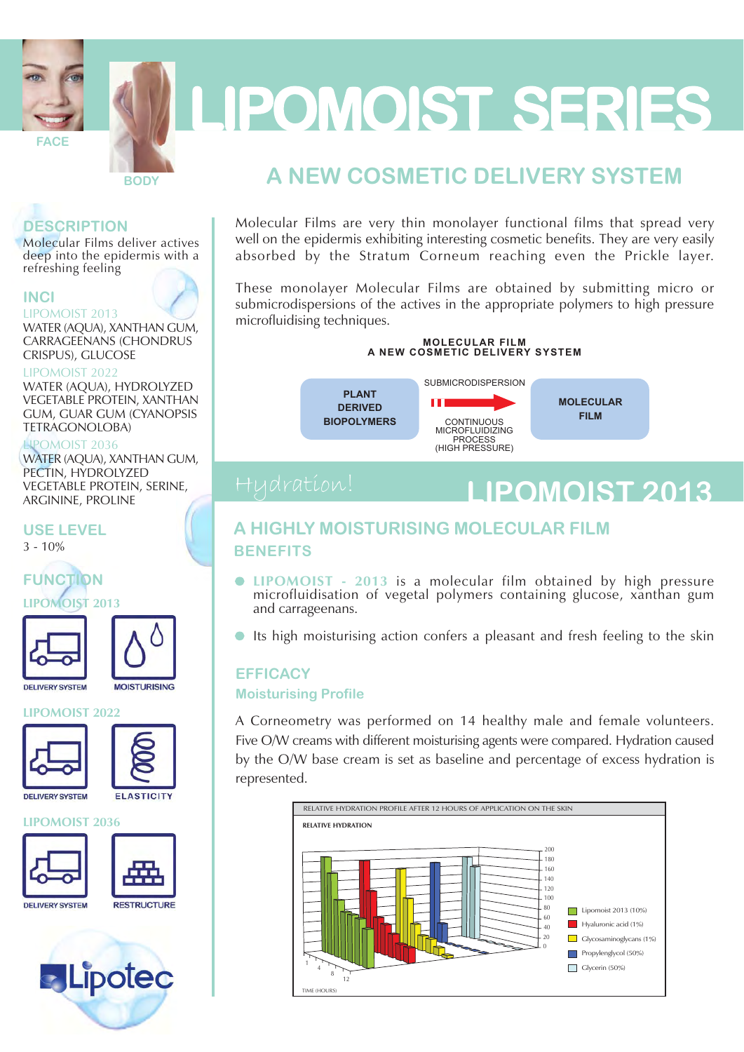

# LIPOMOIST SERIES

#### **DESCRIPTION**

Molecular Films deliver actives deep into the epidermis with a refreshing feeling

**BODY** 

#### **INCI**

#### LIPOMOIST 2013

WATER (AQUA), XANTHAN GUM, **CARRAGEENANS (CHONDRUS** CRISPUS), GLUCOSE

#### **LIPOMOIST 2022**

WATER (AQUA), HYDROLYZED **VEGETABLE PROTEIN, XANTHAN GUM, GUAR GUM (CYANOPSIS) TETRAGONOLOBA)** 

#### LIPOMOIST 2036

WATER (AOUA), XANTHAN GUM, PECTIN, HYDROLYZED **VEGETABLE PROTEIN, SERINE, ARGININE, PROLINE** 

**USE LEVEL** 

 $3 - 10\%$ 



**OMOIST 2013** 



**MOISTURISING** 

#### **LIPOMOIST 2022**



**DELIVERY SYSTEM** 

### **ELASTICITY**

#### **LIPOMOIST 2036**









### A NEW COSMETIC DELIVERY SYSTEM

Molecular Films are very thin monolayer functional films that spread very well on the epidermis exhibiting interesting cosmetic benefits. They are very easily absorbed by the Stratum Corneum reaching even the Prickle layer.

These monolayer Molecular Films are obtained by submitting micro or submicrodispersions of the actives in the appropriate polymers to high pressure microfluidising techniques.

### MOLECULAR FILM<br>A NEW COSMETIC DELIVERY SYSTEM

**PI ANT DERIVED BIOPOLYMERS** 



## **LIPOMOIST 2013**

#### A HIGHLY MOISTURISING MOLECULAR FILM **BENEFITS**

- LIPOMOIST 2013 is a molecular film obtained by high pressure microfluidisation of vegetal polymers containing glucose, xanthan gum and carrageenans.
- Its high moisturising action confers a pleasant and fresh feeling to the skin

#### **EFFICACY**

#### **Moisturising Profile**

A Corneometry was performed on 14 healthy male and female volunteers. Five O/W creams with different moisturising agents were compared. Hydration caused by the O/W base cream is set as baseline and percentage of excess hydration is represented.